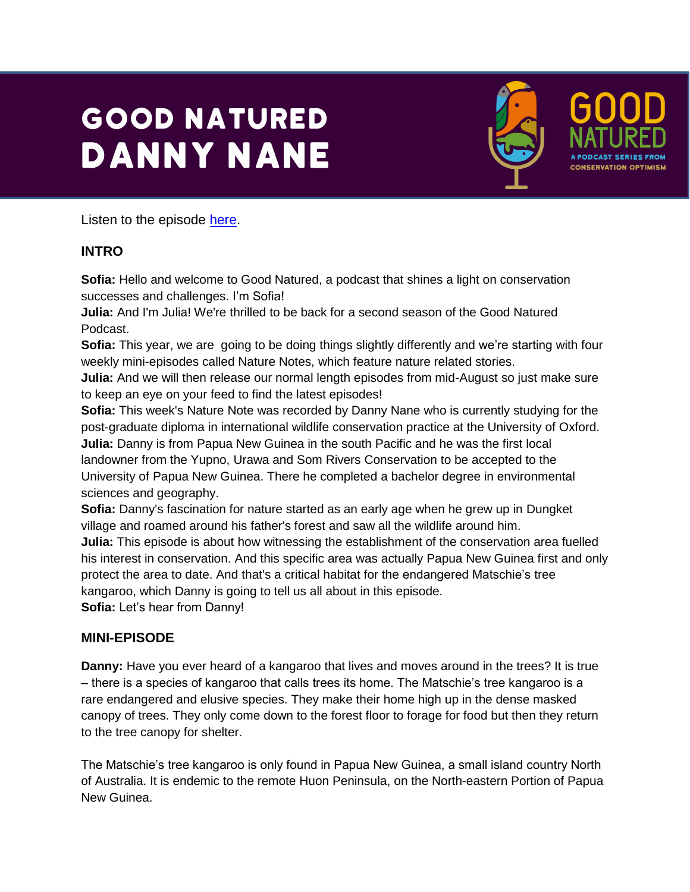## **GOOD NATURED DANNY NANE**



Listen to the episode [here.](https://podfollow.com/1514337431)

## **INTRO**

**Sofia:** Hello and welcome to Good Natured, a podcast that shines a light on conservation successes and challenges. I'm Sofia!

**Julia:** And I'm Julia! We're thrilled to be back for a second season of the Good Natured Podcast.

**Sofia:** This year, we are going to be doing things slightly differently and we're starting with four weekly mini-episodes called Nature Notes, which feature nature related stories.

**Julia:** And we will then release our normal length episodes from mid-August so just make sure to keep an eye on your feed to find the latest episodes!

**Sofia:** This week's Nature Note was recorded by Danny Nane who is currently studying for the post-graduate diploma in international wildlife conservation practice at the University of Oxford. **Julia:** Danny is from Papua New Guinea in the south Pacific and he was the first local landowner from the Yupno, Urawa and Som Rivers Conservation to be accepted to the University of Papua New Guinea. There he completed a bachelor degree in environmental sciences and geography.

**Sofia:** Danny's fascination for nature started as an early age when he grew up in Dungket village and roamed around his father's forest and saw all the wildlife around him.

**Julia:** This episode is about how witnessing the establishment of the conservation area fuelled his interest in conservation. And this specific area was actually Papua New Guinea first and only protect the area to date. And that's a critical habitat for the endangered Matschie's tree kangaroo, which Danny is going to tell us all about in this episode.

**Sofia:** Let's hear from Danny!

## **MINI-EPISODE**

**Danny:** Have you ever heard of a kangaroo that lives and moves around in the trees? It is true – there is a species of kangaroo that calls trees its home. The Matschie's tree kangaroo is a rare endangered and elusive species. They make their home high up in the dense masked canopy of trees. They only come down to the forest floor to forage for food but then they return to the tree canopy for shelter.

The Matschie's tree kangaroo is only found in Papua New Guinea, a small island country North of Australia. It is endemic to the remote Huon Peninsula, on the North-eastern Portion of Papua New Guinea.